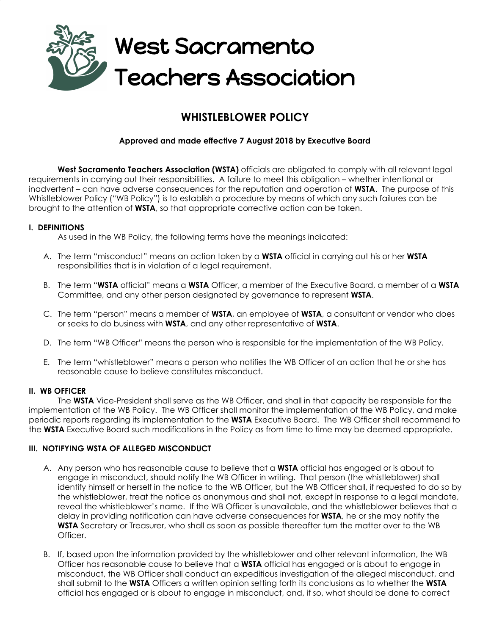

# **WHISTLEBLOWER POLICY**

## **Approved and made effective 7 August 2018 by Executive Board**

**West Sacramento Teachers Association (WSTA)** officials are obligated to comply with all relevant legal requirements in carrying out their responsibilities. A failure to meet this obligation – whether intentional or inadvertent – can have adverse consequences for the reputation and operation of **WSTA**. The purpose of this Whistleblower Policy ("WB Policy") is to establish a procedure by means of which any such failures can be brought to the attention of **WSTA**, so that appropriate corrective action can be taken.

#### **I. DEFINITIONS**

As used in the WB Policy, the following terms have the meanings indicated:

- A. The term "misconduct" means an action taken by a **WSTA** official in carrying out his or her **WSTA** responsibilities that is in violation of a legal requirement.
- B. The term "**WSTA** official" means a **WSTA** Officer, a member of the Executive Board, a member of a **WSTA** Committee, and any other person designated by governance to represent **WSTA**.
- C. The term "person" means a member of **WSTA**, an employee of **WSTA**, a consultant or vendor who does or seeks to do business with **WSTA**, and any other representative of **WSTA**.
- D. The term "WB Officer" means the person who is responsible for the implementation of the WB Policy.
- E. The term "whistleblower" means a person who notifies the WB Officer of an action that he or she has reasonable cause to believe constitutes misconduct.

#### **II. WB OFFICER**

The **WSTA** Vice-President shall serve as the WB Officer, and shall in that capacity be responsible for the implementation of the WB Policy. The WB Officer shall monitor the implementation of the WB Policy, and make periodic reports regarding its implementation to the **WSTA** Executive Board. The WB Officer shall recommend to the **WSTA** Executive Board such modifications in the Policy as from time to time may be deemed appropriate.

#### **III. NOTIFYING WSTA OF ALLEGED MISCONDUCT**

- A. Any person who has reasonable cause to believe that a **WSTA** official has engaged or is about to engage in misconduct, should notify the WB Officer in writing. That person (the whistleblower) shall identify himself or herself in the notice to the WB Officer, but the WB Officer shall, if requested to do so by the whistleblower, treat the notice as anonymous and shall not, except in response to a legal mandate, reveal the whistleblower's name. If the WB Officer is unavailable, and the whistleblower believes that a delay in providing notification can have adverse consequences for **WSTA**, he or she may notify the **WSTA** Secretary or Treasurer, who shall as soon as possible thereafter turn the matter over to the WB Officer.
- B. If, based upon the information provided by the whistleblower and other relevant information, the WB Officer has reasonable cause to believe that a **WSTA** official has engaged or is about to engage in misconduct, the WB Officer shall conduct an expeditious investigation of the alleged misconduct, and shall submit to the **WSTA** Officers a written opinion setting forth its conclusions as to whether the **WSTA** official has engaged or is about to engage in misconduct, and, if so, what should be done to correct